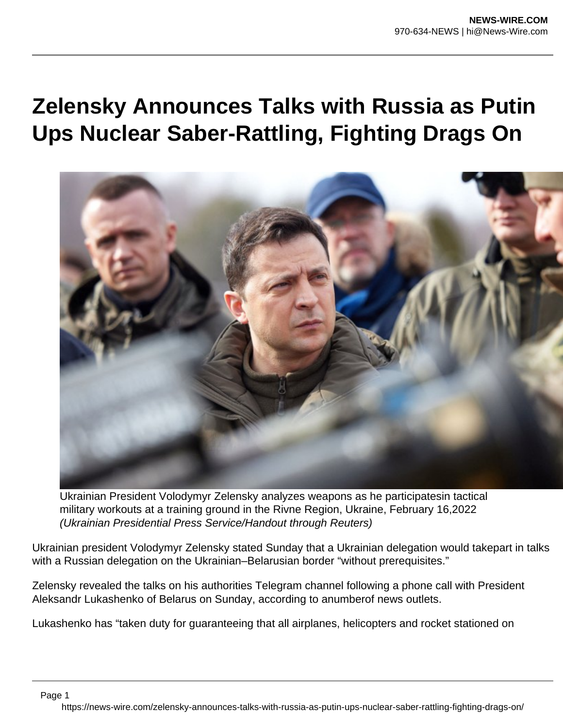## **Zelensky Announces Talks with Russia as Putin Ups Nuclear Saber-Rattling, Fighting Drags On**



Ukrainian President Volodymyr Zelensky analyzes weapons as he participatesin tactical military workouts at a training ground in the Rivne Region, Ukraine, February 16,2022 (Ukrainian Presidential Press Service/Handout through Reuters)

Ukrainian president Volodymyr Zelensky stated Sunday that a Ukrainian delegation would takepart in talks with a Russian delegation on the Ukrainian–Belarusian border "without prerequisites."

Zelensky revealed the talks on his authorities Telegram channel following a phone call with President Aleksandr Lukashenko of Belarus on Sunday, according to anumberof news outlets.

Lukashenko has "taken duty for guaranteeing that all airplanes, helicopters and rocket stationed on

Page 1